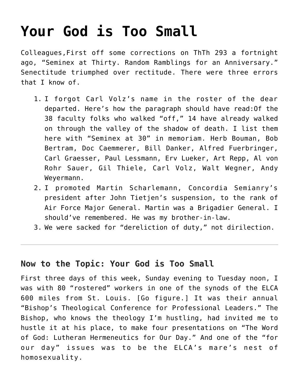# **[Your God is Too Small](https://crossings.org/your-god-is-too-small/)**

Colleagues,First off some corrections on ThTh 293 a fortnight ago, "Seminex at Thirty. Random Ramblings for an Anniversary." Senectitude triumphed over rectitude. There were three errors that I know of.

- 1. I forgot Carl Volz's name in the roster of the dear departed. Here's how the paragraph should have read:Of the 38 faculty folks who walked "off," 14 have already walked on through the valley of the shadow of death. I list them here with "Seminex at 30" in memoriam. Herb Bouman, Bob Bertram, Doc Caemmerer, Bill Danker, Alfred Fuerbringer, Carl Graesser, Paul Lessmann, Erv Lueker, Art Repp, Al von Rohr Sauer, Gil Thiele, Carl Volz, Walt Wegner, Andy Weyermann.
- 2. I promoted Martin Scharlemann, Concordia Semianry's president after John Tietjen's suspension, to the rank of Air Force Major General. Martin was a Brigadier General. I should've remembered. He was my brother-in-law.
- 3. We were sacked for "dereliction of duty," not dirilection.

# **Now to the Topic: Your God is Too Small**

First three days of this week, Sunday evening to Tuesday noon, I was with 80 "rostered" workers in one of the synods of the ELCA 600 miles from St. Louis. [Go figure.] It was their annual "Bishop's Theological Conference for Professional Leaders." The Bishop, who knows the theology I'm hustling, had invited me to hustle it at his place, to make four presentations on "The Word of God: Lutheran Hermeneutics for Our Day." And one of the "for our day" issues was to be the ELCA's mare's nest of homosexuality.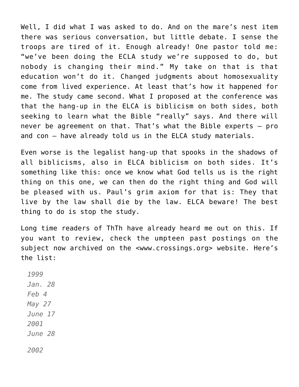Well, I did what I was asked to do. And on the mare's nest item there was serious conversation, but little debate. I sense the troops are tired of it. Enough already! One pastor told me: "we've been doing the ECLA study we're supposed to do, but nobody is changing their mind." My take on that is that education won't do it. Changed judgments about homosexuality come from lived experience. At least that's how it happened for me. The study came second. What I proposed at the conference was that the hang-up in the ELCA is biblicism on both sides, both seeking to learn what the Bible "really" says. And there will never be agreement on that. That's what the Bible experts — pro and con — have already told us in the ELCA study materials.

Even worse is the legalist hang-up that spooks in the shadows of all biblicisms, also in ELCA biblicism on both sides. It's something like this: once we know what God tells us is the right thing on this one, we can then do the right thing and God will be pleased with us. Paul's grim axiom for that is: They that live by the law shall die by the law. ELCA beware! The best thing to do is stop the study.

Long time readers of ThTh have already heard me out on this. If you want to review, check the umpteen past postings on the subject now archived on the <www.crossings.org> website. Here's the list:

*1999 Jan. 28 Feb 4 May 27 June 17 2001 June 28*

*2002*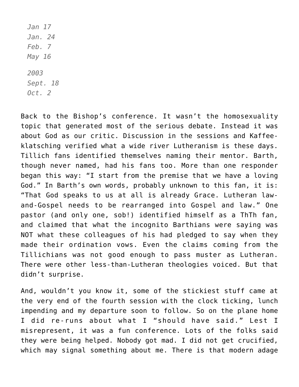*Jan 17 Jan. 24 Feb. 7 May 16 2003 Sept. 18 Oct. 2*

Back to the Bishop's conference. It wasn't the homosexuality topic that generated most of the serious debate. Instead it was about God as our critic. Discussion in the sessions and Kaffeeklatsching verified what a wide river Lutheranism is these days. Tillich fans identified themselves naming their mentor. Barth, though never named, had his fans too. More than one responder began this way: "I start from the premise that we have a loving God." In Barth's own words, probably unknown to this fan, it is: "That God speaks to us at all is already Grace. Lutheran lawand-Gospel needs to be rearranged into Gospel and law." One pastor (and only one, sob!) identified himself as a ThTh fan, and claimed that what the incognito Barthians were saying was NOT what these colleagues of his had pledged to say when they made their ordination vows. Even the claims coming from the Tillichians was not good enough to pass muster as Lutheran. There were other less-than-Lutheran theologies voiced. But that didn't surprise.

And, wouldn't you know it, some of the stickiest stuff came at the very end of the fourth session with the clock ticking, lunch impending and my departure soon to follow. So on the plane home I did re-runs about what I "should have said." Lest I misrepresent, it was a fun conference. Lots of the folks said they were being helped. Nobody got mad. I did not get crucified, which may signal something about me. There is that modern adage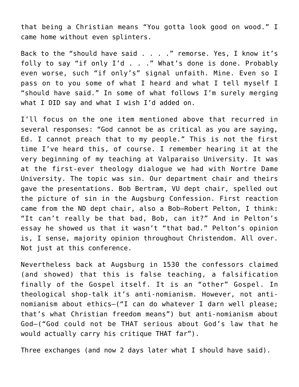that being a Christian means "You gotta look good on wood." I came home without even splinters.

Back to the "should have said . . . ." remorse. Yes, I know it's folly to say "if only I'd . . ." What's done is done. Probably even worse, such "if only's" signal unfaith. Mine. Even so I pass on to you some of what I heard and what I tell myself I "should have said." In some of what follows I'm surely merging what I DID say and what I wish I'd added on.

I'll focus on the one item mentioned above that recurred in several responses: "God cannot be as critical as you are saying, Ed. I cannot preach that to my people." This is not the first time I've heard this, of course. I remember hearing it at the very beginning of my teaching at Valparaiso University. It was at the first-ever theology dialogue we had with Nortre Dame University. The topic was sin. Our department chair and theirs gave the presentations. Bob Bertram, VU dept chair, spelled out the picture of sin in the Augsburg Confession. First reaction came from the ND dept chair, also a Bob–Robert Pelton, I think: "It can't really be that bad, Bob, can it?" And in Pelton's essay he showed us that it wasn't "that bad." Pelton's opinion is, I sense, majority opinion throughout Christendom. All over. Not just at this conference.

Nevertheless back at Augsburg in 1530 the confessors claimed (and showed) that this is false teaching, a falsification finally of the Gospel itself. It is an "other" Gospel. In theological shop-talk it's anti-nomianism. However, not antinomianism about ethics–("I can do whatever I darn well please; that's what Christian freedom means") but anti-nomianism about God–("God could not be THAT serious about God's law that he would actually carry his critique THAT far").

Three exchanges (and now 2 days later what I should have said).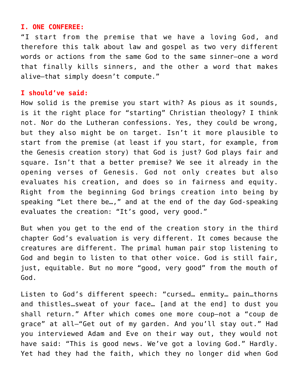#### **I. ONE CONFEREE:**

"I start from the premise that we have a loving God, and therefore this talk about law and gospel as two very different words or actions from the same God to the same sinner–one a word that finally kills sinners, and the other a word that makes alive–that simply doesn't compute."

#### **I should've said:**

How solid is the premise you start with? As pious as it sounds, is it the right place for "starting" Christian theology? I think not. Nor do the Lutheran confessions. Yes, they could be wrong, but they also might be on target. Isn't it more plausible to start from the premise (at least if you start, for example, from the Genesis creation story) that God is just? God plays fair and square. Isn't that a better premise? We see it already in the opening verses of Genesis. God not only creates but also evaluates his creation, and does so in fairness and equity. Right from the beginning God brings creation into being by speaking "Let there be…," and at the end of the day God-speaking evaluates the creation: "It's good, very good."

But when you get to the end of the creation story in the third chapter God's evaluation is very different. It comes because the creatures are different. The primal human pair stop listening to God and begin to listen to that other voice. God is still fair, just, equitable. But no more "good, very good" from the mouth of God.

Listen to God's different speech: "cursed… enmity… pain…thorns and thistles…sweat of your face… [and at the end] to dust you shall return." After which comes one more coup–not a "coup de grace" at all–"Get out of my garden. And you'll stay out." Had you interviewed Adam and Eve on their way out, they would not have said: "This is good news. We've got a loving God." Hardly. Yet had they had the faith, which they no longer did when God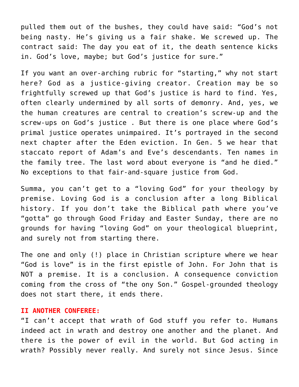pulled them out of the bushes, they could have said: "God's not being nasty. He's giving us a fair shake. We screwed up. The contract said: The day you eat of it, the death sentence kicks in. God's love, maybe; but God's justice for sure."

If you want an over-arching rubric for "starting," why not start here? God as a justice-giving creator. Creation may be so frightfully screwed up that God's justice is hard to find. Yes, often clearly undermined by all sorts of demonry. And, yes, we the human creatures are central to creation's screw-up and the screw-ups on God's justice . But there is one place where God's primal justice operates unimpaired. It's portrayed in the second next chapter after the Eden eviction. In Gen. 5 we hear that staccato report of Adam's and Eve's descendants. Ten names in the family tree. The last word about everyone is "and he died." No exceptions to that fair-and-square justice from God.

Summa, you can't get to a "loving God" for your theology by premise. Loving God is a conclusion after a long Biblical history. If you don't take the Biblical path where you've "gotta" go through Good Friday and Easter Sunday, there are no grounds for having "loving God" on your theological blueprint, and surely not from starting there.

The one and only (!) place in Christian scripture where we hear "God is love" is in the first epistle of John. For John that is NOT a premise. It is a conclusion. A consequence conviction coming from the cross of "the ony Son." Gospel-grounded theology does not start there, it ends there.

#### **II ANOTHER CONFEREE:**

"I can't accept that wrath of God stuff you refer to. Humans indeed act in wrath and destroy one another and the planet. And there is the power of evil in the world. But God acting in wrath? Possibly never really. And surely not since Jesus. Since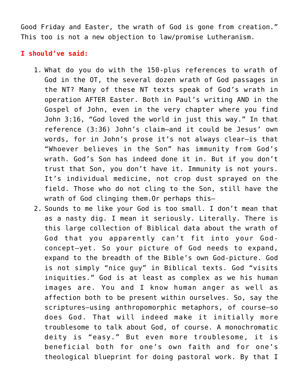Good Friday and Easter, the wrath of God is gone from creation." This too is not a new objection to law/promise Lutheranism.

# **I should've said:**

- 1. What do you do with the 150-plus references to wrath of God in the OT, the several dozen wrath of God passages in the NT? Many of these NT texts speak of God's wrath in operation AFTER Easter. Both in Paul's writing AND in the Gospel of John, even in the very chapter where you find John 3:16, "God loved the world in just this way." In that reference (3:36) John's claim–and it could be Jesus' own words, for in John's prose it's not always clear–is that "Whoever believes in the Son" has immunity from God's wrath. God's Son has indeed done it in. But if you don't trust that Son, you don't have it. Immunity is not yours. It's individual medicine, not crop dust sprayed on the field. Those who do not cling to the Son, still have the wrath of God clinging them.Or perhaps this–
- 2. Sounds to me like your God is too small. I don't mean that as a nasty dig. I mean it seriously. Literally. There is this large collection of Biblical data about the wrath of God that you apparently can't fit into your Godconcept–yet. So your picture of God needs to expand, expand to the breadth of the Bible's own God-picture. God is not simply "nice guy" in Biblical texts. God "visits iniquities." God is at least as complex as we his human images are. You and I know human anger as well as affection both to be present within ourselves. So, say the scriptures–using anthropomorphic metaphors, of course–so does God. That will indeed make it initially more troublesome to talk about God, of course. A monochromatic deity is "easy." But even more troublesome, it is beneficial both for one's own faith and for one's theological blueprint for doing pastoral work. By that I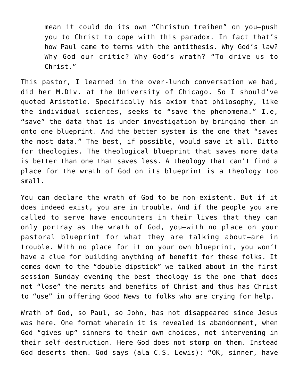mean it could do its own "Christum treiben" on you–push you to Christ to cope with this paradox. In fact that's how Paul came to terms with the antithesis. Why God's law? Why God our critic? Why God's wrath? "To drive us to Christ."

This pastor, I learned in the over-lunch conversation we had, did her M.Div. at the University of Chicago. So I should've quoted Aristotle. Specifically his axiom that philosophy, like the individual sciences, seeks to "save the phenomena." I.e, "save" the data that is under investigation by bringing them in onto one blueprint. And the better system is the one that "saves the most data." The best, if possible, would save it all. Ditto for theologies. The theological blueprint that saves more data is better than one that saves less. A theology that can't find a place for the wrath of God on its blueprint is a theology too small.

You can declare the wrath of God to be non-existent. But if it does indeed exist, you are in trouble. And if the people you are called to serve have encounters in their lives that they can only portray as the wrath of God, you–with no place on your pastoral blueprint for what they are talking about–are in trouble. With no place for it on your own blueprint, you won't have a clue for building anything of benefit for these folks. It comes down to the "double-dipstick" we talked about in the first session Sunday evening–the best theology is the one that does not "lose" the merits and benefits of Christ and thus has Christ to "use" in offering Good News to folks who are crying for help.

Wrath of God, so Paul, so John, has not disappeared since Jesus was here. One format wherein it is revealed is abandonment, when God "gives up" sinners to their own choices, not intervening in their self-destruction. Here God does not stomp on them. Instead God deserts them. God says (ala C.S. Lewis): "OK, sinner, have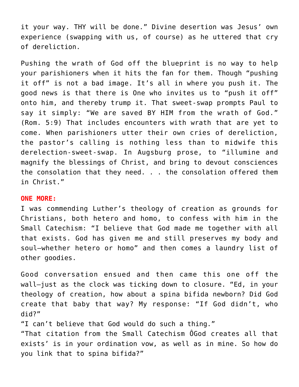it your way. THY will be done." Divine desertion was Jesus' own experience (swapping with us, of course) as he uttered that cry of dereliction.

Pushing the wrath of God off the blueprint is no way to help your parishioners when it hits the fan for them. Though "pushing it off" is not a bad image. It's all in where you push it. The good news is that there is One who invites us to "push it off" onto him, and thereby trump it. That sweet-swap prompts Paul to say it simply: "We are saved BY HIM from the wrath of God." (Rom. 5:9) That includes encounters with wrath that are yet to come. When parishioners utter their own cries of dereliction, the pastor's calling is nothing less than to midwife this derelection-sweet-swap. In Augsburg prose, to "illumine and magnify the blessings of Christ, and bring to devout consciences the consolation that they need. . . the consolation offered them in Christ."

### **ONE MORE:**

I was commending Luther's theology of creation as grounds for Christians, both hetero and homo, to confess with him in the Small Catechism: "I believe that God made me together with all that exists. God has given me and still preserves my body and soul–whether hetero or homo" and then comes a laundry list of other goodies.

Good conversation ensued and then came this one off the wall–just as the clock was ticking down to closure. "Ed, in your theology of creation, how about a spina bifida newborn? Did God create that baby that way? My response: "If God didn't, who did?"

"I can't believe that God would do such a thing."

"That citation from the Small Catechism ÔGod creates all that exists' is in your ordination vow, as well as in mine. So how do you link that to spina bifida?"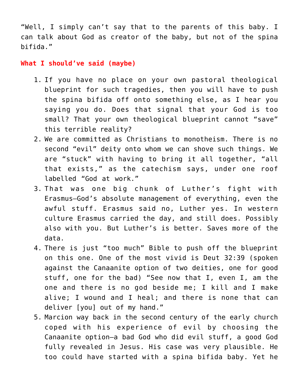"Well, I simply can't say that to the parents of this baby. I can talk about God as creator of the baby, but not of the spina bifida."

**What I should've said (maybe)**

- 1. If you have no place on your own pastoral theological blueprint for such tragedies, then you will have to push the spina bifida off onto something else, as I hear you saying you do. Does that signal that your God is too small? That your own theological blueprint cannot "save" this terrible reality?
- 2. We are committed as Christians to monotheism. There is no second "evil" deity onto whom we can shove such things. We are "stuck" with having to bring it all together, "all that exists," as the catechism says, under one roof labelled "God at work."
- 3. That was one big chunk of Luther's fight with Erasmus–God's absolute management of everything, even the awful stuff. Erasmus said no, Luther yes. In western culture Erasmus carried the day, and still does. Possibly also with you. But Luther's is better. Saves more of the data.
- 4. There is just "too much" Bible to push off the blueprint on this one. One of the most vivid is Deut 32:39 (spoken against the Canaanite option of two deities, one for good stuff, one for the bad) "See now that I, even I, am the one and there is no god beside me; I kill and I make alive; I wound and I heal; and there is none that can deliver [you] out of my hand."
- 5. Marcion way back in the second century of the early church coped with his experience of evil by choosing the Canaanite option–a bad God who did evil stuff, a good God fully revealed in Jesus. His case was very plausible. He too could have started with a spina bifida baby. Yet he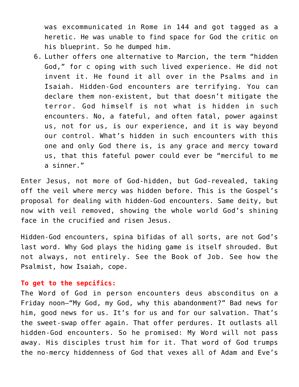was excommunicated in Rome in 144 and got tagged as a heretic. He was unable to find space for God the critic on his blueprint. So he dumped him.

6. Luther offers one alternative to Marcion, the term "hidden God," for c oping with such lived experience. He did not invent it. He found it all over in the Psalms and in Isaiah. Hidden-God encounters are terrifying. You can declare them non-existent, but that doesn't mitigate the terror. God himself is not what is hidden in such encounters. No, a fateful, and often fatal, power against us, not for us, is our experience, and it is way beyond our control. What's hidden in such encounters with this one and only God there is, is any grace and mercy toward us, that this fateful power could ever be "merciful to me a sinner."

Enter Jesus, not more of God-hidden, but God-revealed, taking off the veil where mercy was hidden before. This is the Gospel's proposal for dealing with hidden-God encounters. Same deity, but now with veil removed, showing the whole world God's shining face in the crucified and risen Jesus.

Hidden-God encounters, spina bifidas of all sorts, are not God's last word. Why God plays the hiding game is itself shrouded. But not always, not entirely. See the Book of Job. See how the Psalmist, how Isaiah, cope.

## **To get to the sepcifics:**

The Word of God in person encounters deus absconditus on a Friday noon–"My God, my God, why this abandonment?" Bad news for him, good news for us. It's for us and for our salvation. That's the sweet-swap offer again. That offer perdures. It outlasts all hidden-God encounters. So he promised: My Word will not pass away. His disciples trust him for it. That word of God trumps the no-mercy hiddenness of God that vexes all of Adam and Eve's